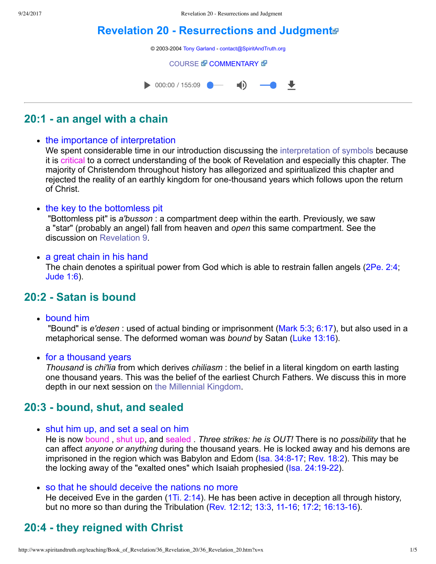# **[Revelation 20 Resurrections and Judgment](http://www.spiritandtruth.org/teaching/Book_of_Revelation/36_Revelation_20/index.htm)**



# **20:1 an angel with a chain**

• the importance of interpretation

We spent considerable time in our introduction discussing the [interpretation of symbols](http://www.spiritandtruth.org/teaching/Book_of_Revelation/07_introduction/index.htm) because it is critical to a correct understanding of the book of Revelation and especially this chapter. The majority of Christendom throughout history has allegorized and spiritualized this chapter and rejected the reality of an earthly kingdom for one-thousand years which follows upon the return of Christ.

• the key to the bottomless pit

 "Bottomless pit" is *a'busson* : a compartment deep within the earth. Previously, we saw a "star" (probably an angel) fall from heaven and *open* this same compartment. See the discussion on [Revelation 9.](http://www.spiritandtruth.org/teaching/Book_of_Revelation/24_Revelation_9/index.htm)

#### • a great chain in his hand

The chain denotes a spiritual power from God which is able to restrain fallen angels ([2Pe. 2:4;](http://www.spiritandtruth.org/bibles/nasb/b61c002.htm#2Pe._C2V4) [Jude 1:6](http://www.spiritandtruth.org/bibles/nasb/b65c001.htm#Jude_C1V6)).

## **20:2 Satan is bound**

bound him

 "Bound" is *e'desen* : used of actual binding or imprisonment [\(Mark 5:3](http://www.spiritandtruth.org/bibles/nasb/b41c005.htm#Mark_C5V3); [6:17](http://www.spiritandtruth.org/bibles/nasb/b41c006.htm#Mark_C6V17)), but also used in a metaphorical sense. The deformed woman was *bound* by Satan [\(Luke 13:16\)](http://www.spiritandtruth.org/bibles/nasb/b42c013.htm#Luke_C13V16).

• for a thousand years

*Thousand* is *chi'lia* from which derives *chiliasm* : the belief in a literal kingdom on earth lasting one thousand years. This was the belief of the earliest Church Fathers. We discuss this in more depth in our next session on [the Millennial Kingdom.](http://www.spiritandtruth.org/teaching/Book_of_Revelation/37_Millennial_Kingdom/index.htm)

### **20:3 bound, shut, and sealed**

• shut him up, and set a seal on him

He is now bound , shut up, and sealed . *Three strikes: he is OUT!* There is no *possibility* that he can affect *anyone or anything* during the thousand years. He is locked away and his demons are imprisoned in the region which was Babylon and Edom (Isa. 34:8-17; [Rev. 18:2\)](http://www.spiritandtruth.org/bibles/nasb/b66c018.htm#Rev._C18V2). This may be the locking away of the "exalted ones" which Isaiah prophesied ( $\text{Isa. } 24:19-22$ ).

#### so that he should deceive the nations no more

He deceived Eve in the garden ([1Ti. 2:14\)](http://www.spiritandtruth.org/bibles/nasb/b54c002.htm#1Ti._C2V14). He has been active in deception all through history, but no more so than during the Tribulation ([Rev. 12:12](http://www.spiritandtruth.org/bibles/nasb/b66c012.htm#Rev._C12V12), [13:3](http://www.spiritandtruth.org/bibles/nasb/b66c013.htm#Rev._C13V3), 11-16; 17:2, 16:13-16).

# **20:4 they reigned with Christ**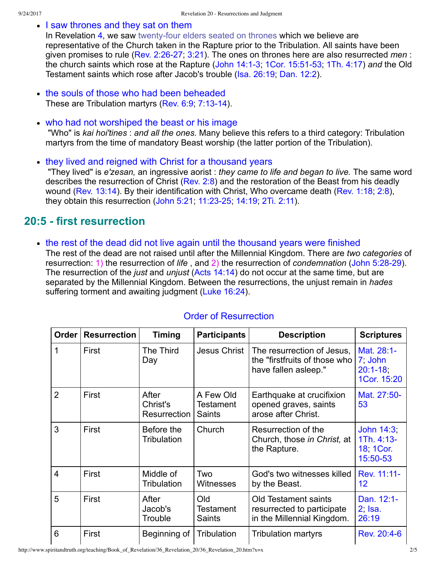• I saw thrones and they sat on them

In Revelation [4](http://www.spiritandtruth.org/bibles/nasb/b66c004.htm#Rev._C4V1), we saw twenty-four elders seated on thrones which we believe are representative of the Church taken in the Rapture prior to the Tribulation. All saints have been given promises to rule (Rev. 2:26-27; [3:21\)](http://www.spiritandtruth.org/bibles/nasb/b66c003.htm#Rev._C3V21). The ones on thrones here are also resurrected *men* : the church saints which rose at the Rapture (John 14:1-3, 1Cor. 15:51-53; [1Th. 4:17](http://www.spiritandtruth.org/bibles/nasb/b52c004.htm#1Th._C4V17)) *and* the Old Testament saints which rose after Jacob's trouble ([Isa. 26:19](http://www.spiritandtruth.org/bibles/nasb/b23c026.htm#Isa._C26V19); [Dan. 12:2\)](http://www.spiritandtruth.org/bibles/nasb/b27c012.htm#Dan._C12V2).

- the souls of those who had been beheaded These are Tribulation martyrs (Rev. 6:9, 7:13-14).
- who had not worshiped the beast or his image "Who" is *kai hoi'tines* : *and all the ones.* Many believe this refers to a third category: Tribulation martyrs from the time of mandatory Beast worship (the latter portion of the Tribulation).
- they lived and reigned with Christ for a thousand years "They lived" is *e'zesan,* an ingressive aorist : *they came to life and began to live.* The same word describes the resurrection of Christ ([Rev. 2:8](http://www.spiritandtruth.org/bibles/nasb/b66c002.htm#Rev._C2V8)) and the restoration of the Beast from his deadly wound ([Rev. 13:14\)](http://www.spiritandtruth.org/bibles/nasb/b66c013.htm#Rev._C13V14). By their identification with Christ, Who overcame death [\(Rev. 1:18](http://www.spiritandtruth.org/bibles/nasb/b66c001.htm#Rev._C1V18); [2:8\)](http://www.spiritandtruth.org/bibles/nasb/b66c002.htm#Rev._C2V8), they obtain this resurrection (John 5:21, 11:23-25, [14:19](http://www.spiritandtruth.org/bibles/nasb/b43c014.htm#John_C14V19), [2Ti. 2:11\)](http://www.spiritandtruth.org/bibles/nasb/b55c002.htm#2Ti._C2V11).

### **20:5 first resurrection**

• the rest of the dead did not live again until the thousand years were finished

The rest of the dead are not raised until after the Millennial Kingdom. There are *two categories* of resurrection: 1) the resurrection of *life*, and 2) the resurrection of *condemnation* (John 5:28-29). The resurrection of the *just* and *unjust* ([Acts 14:14\)](http://www.spiritandtruth.org/bibles/nasb/b44c024.htm#Acts_C24V14) do not occur at the same time, but are separated by the Millennial Kingdom. Between the resurrections, the unjust remain in *hades* suffering torment and awaiting judgment ([Luke 16:24](http://www.spiritandtruth.org/bibles/nasb/b42c016.htm#Luke_C16V24)).

| Order          | <b>Resurrection</b> | <b>Timing</b>                     | <b>Participants</b>                            | <b>Description</b>                                                                      | <b>Scriptures</b>                                 |
|----------------|---------------------|-----------------------------------|------------------------------------------------|-----------------------------------------------------------------------------------------|---------------------------------------------------|
| 1              | First               | The Third<br>Day                  | <b>Jesus Christ</b>                            | The resurrection of Jesus,<br>the "firstfruits of those who<br>have fallen asleep."     | Mat. 28:1-<br>7, John<br>$20:1-18$<br>1Cor. 15:20 |
| $\overline{2}$ | First               | After<br>Christ's<br>Resurrection | A Few Old<br><b>Testament</b><br><b>Saints</b> | Earthquake at crucifixion<br>opened graves, saints<br>arose after Christ.               | Mat. 27:50-<br>53                                 |
| 3              | First               | Before the<br><b>Tribulation</b>  | Church                                         | Resurrection of the<br>Church, those in Christ, at<br>the Rapture.                      | John 14:3<br>1Th. 4:13-<br>18, 1Cor.<br>15:50-53  |
| $\overline{4}$ | First               | Middle of<br><b>Tribulation</b>   | Two<br>Witnesses                               | God's two witnesses killed<br>by the Beast.                                             | Rev. 11:11-<br>$12 \overline{ }$                  |
| 5              | First               | After<br>Jacob's<br>Trouble       | Old<br><b>Testament</b><br><b>Saints</b>       | <b>Old Testament saints</b><br>resurrected to participate<br>in the Millennial Kingdom. | Dan. 12:1-<br>$2$ , Isa.<br>26:19                 |
| $6\phantom{1}$ | First               | Beginning of                      | Tribulation                                    | <b>Tribulation martyrs</b>                                                              | Rev. 20:4-6                                       |

#### Order of Resurrection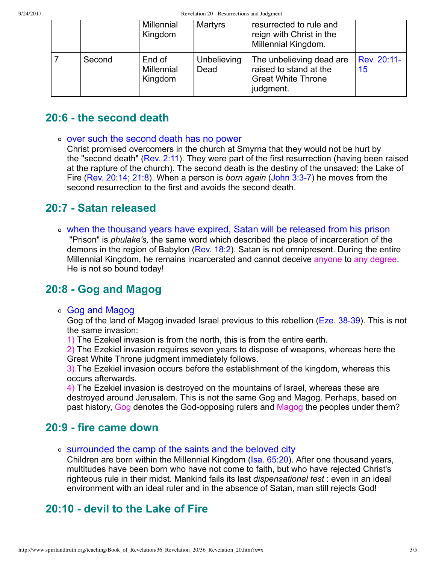9/24/2017 Revelation 20 - Resurrections and Judgment

|  |        | <b>Millennial</b><br>Kingdom           | <b>Martyrs</b>      | resurrected to rule and<br>reign with Christ in the<br>Millennial Kingdom.                   |                   |  |  |  |  |
|--|--------|----------------------------------------|---------------------|----------------------------------------------------------------------------------------------|-------------------|--|--|--|--|
|  | Second | End of<br><b>Millennial</b><br>Kingdom | Unbelieving<br>Dead | The unbelieving dead are<br>raised to stand at the<br><b>Great White Throne</b><br>judgment. | Rev. 20:11-<br>15 |  |  |  |  |

# **20:6 the second death**

#### o over such the second death has no power

Christ promised overcomers in the church at Smyrna that they would not be hurt by the "second death" [\(Rev. 2:11\)](http://www.spiritandtruth.org/bibles/nasb/b66c002.htm#Rev._C2V11). They were part of the first resurrection (having been raised at the rapture of the church). The second death is the destiny of the unsaved: the Lake of Fire [\(Rev. 20:14;](http://www.spiritandtruth.org/bibles/nasb/b66c020.htm#Rev._C20V14) [21:8\)](http://www.spiritandtruth.org/bibles/nasb/b66c021.htm#Rev._C21V8). When a person is *born again* (John 3:3-7) he moves from the second resurrection to the first and avoids the second death.

### **20:7 Satan released**

when the thousand years have expired, Satan will be released from his prison "Prison" is *phulake's,* the same word which described the place of incarceration of the demons in the region of Babylon [\(Rev. 18:2\)](http://www.spiritandtruth.org/bibles/nasb/b66c018.htm#Rev._C18V2). Satan is not omnipresent. During the entire Millennial Kingdom, he remains incarcerated and cannot deceive anyone to any degree. He is not so bound today!

## **20:8 Gog and Magog**

#### Gog and Magog

Gog of the land of Magog invaded Israel previous to this rebellion (Eze. 38-39). This is not the same invasion:

1) The Ezekiel invasion is from the north, this is from the entire earth.

2) The Ezekiel invasion requires seven years to dispose of weapons, whereas here the Great White Throne judgment immediately follows.

3) The Ezekiel invasion occurs before the establishment of the kingdom, whereas this occurs afterwards.

4) The Ezekiel invasion is destroyed on the mountains of Israel, whereas these are destroyed around Jerusalem. This is not the same Gog and Magog. Perhaps, based on past history, Gog denotes the God-opposing rulers and Magog the peoples under them?

### **20:9 fire came down**

surrounded the camp of the saints and the beloved city

Children are born within the Millennial Kingdom [\(Isa. 65:20](http://www.spiritandtruth.org/bibles/nasb/b23c065.htm#Isa._C65V20)). After one thousand years, multitudes have been born who have not come to faith, but who have rejected Christ's righteous rule in their midst. Mankind fails its last *dispensational test* : even in an ideal environment with an ideal ruler and in the absence of Satan, man still rejects God!

## **20:10 devil to the Lake of Fire**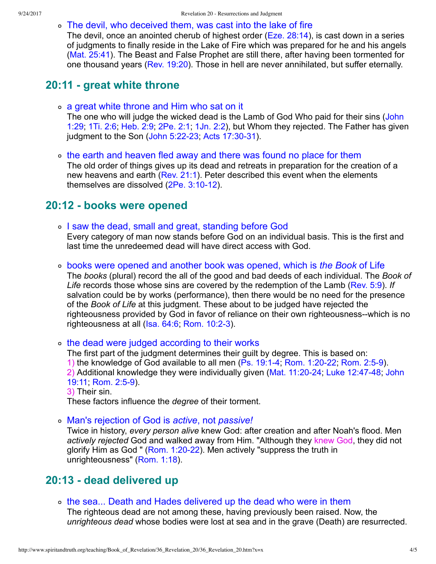The devil, who deceived them, was cast into the lake of fire

The devil. once an anointed cherub of highest order ([Eze. 28:14](http://www.spiritandtruth.org/bibles/nasb/b26c028.htm#Eze._C28V14)), is cast down in a series of judgments to finally reside in the Lake of Fire which was prepared for he and his angels [\(Mat. 25:41\)](http://www.spiritandtruth.org/bibles/nasb/b40c025.htm#Mat._C25V41). The Beast and False Prophet are still there, after having been tormented for one thousand years ([Rev. 19:20](http://www.spiritandtruth.org/bibles/nasb/b66c019.htm#Rev._C19V20)). Those in hell are never annihilated, but suffer eternally.

#### **20:11 great white throne**

- a great white throne and Him who sat on it [The one who will judge the wicked dead is the Lamb of God Who paid for their sins \(John](http://www.spiritandtruth.org/bibles/nasb/b43c001.htm#John_C1V29) 1:29; [1Ti. 2:6;](http://www.spiritandtruth.org/bibles/nasb/b54c002.htm#1Ti._C2V6) [Heb. 2:9;](http://www.spiritandtruth.org/bibles/nasb/b58c002.htm#Heb._C2V9) [2Pe. 2:1](http://www.spiritandtruth.org/bibles/nasb/b61c002.htm#2Pe._C2V1); [1Jn. 2:2](http://www.spiritandtruth.org/bibles/nasb/b62c002.htm#1Jn._C2V2)), but Whom they rejected. The Father has given judgment to the Son (John  $5:22-23$ ; Acts  $17:30-31$ ).
- o the earth and heaven fled away and there was found no place for them The old order of things gives up its dead and retreats in preparation for the creation of a new heavens and earth [\(Rev. 21:1](http://www.spiritandtruth.org/bibles/nasb/b66c021.htm#Rev._C21V1)). Peter described this event when the elements themselves are dissolved  $(2Pe. 3:10-12)$ .

#### **20:12 books were opened**

- o I saw the dead, small and great, standing before God Every category of man now stands before God on an individual basis. This is the first and last time the unredeemed dead will have direct access with God.
- books were opened and another book was opened, which is *the Book* of Life The *books* (plural) record the all of the good and bad deeds of each individual. The *Book of Life* records those whose sins are covered by the redemption of the Lamb ([Rev. 5:9](http://www.spiritandtruth.org/bibles/nasb/b66c005.htm#Rev._C5V9)). *If* salvation could be by works (performance), then there would be no need for the presence of the *Book of Life* at this judgment. These about to be judged have rejected the righteousness provided by God in favor of reliance on their own righteousness--which is no righteousness at all  $(Isa. 64:6, Rom. 10:2-3)$ .

the dead were judged according to their works

The first part of the judgment determines their guilt by degree. This is based on: 1) the knowledge of God available to all men (Ps. 19:1-4; Rom. 1:20-22; Rom. 2:5-9). 2) Additional knowledge they were individually given (Mat. 11:20-24; Luke 12:47-48; John 19:11, Rom. 2:5-9).

3) Their sin.

These factors influence the *degree* of their torment.

Man's rejection of God is *active*, not *passive!*

Twice in history, *every person alive* knew God: after creation and after Noah's flood. Men *actively rejected* God and walked away from Him. "Although they knew God, they did not glorify Him as God " ( $Rom. 1:20-22$ ). Men actively "suppress the truth in unrighteousness" ([Rom. 1:18](http://www.spiritandtruth.org/bibles/nasb/b45c001.htm#Rom._C1V18)).

### **20:13 dead delivered up**

the sea... Death and Hades delivered up the dead who were in them

The righteous dead are not among these, having previously been raised. Now, the *unrighteous dead* whose bodies were lost at sea and in the grave (Death) are resurrected.